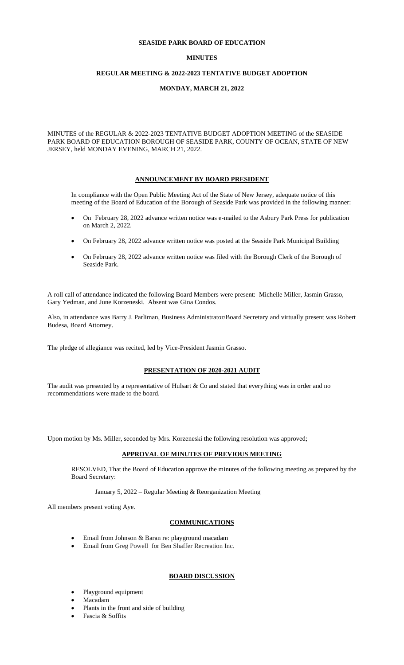#### **SEASIDE PARK BOARD OF EDUCATION**

## **MINUTES**

## **REGULAR MEETING & 2022-2023 TENTATIVE BUDGET ADOPTION**

#### **MONDAY, MARCH 21, 2022**

MINUTES of the REGULAR & 2022-2023 TENTATIVE BUDGET ADOPTION MEETING of the SEASIDE PARK BOARD OF EDUCATION BOROUGH OF SEASIDE PARK, COUNTY OF OCEAN, STATE OF NEW JERSEY, held MONDAY EVENING, MARCH 21, 2022.

#### **ANNOUNCEMENT BY BOARD PRESIDENT**

In compliance with the Open Public Meeting Act of the State of New Jersey, adequate notice of this meeting of the Board of Education of the Borough of Seaside Park was provided in the following manner:

- On February 28, 2022 advance written notice was e-mailed to the Asbury Park Press for publication on March 2, 2022.
- On February 28, 2022 advance written notice was posted at the Seaside Park Municipal Building
- On February 28, 2022 advance written notice was filed with the Borough Clerk of the Borough of Seaside Park.

A roll call of attendance indicated the following Board Members were present: Michelle Miller, Jasmin Grasso, Gary Yedman, and June Korzeneski. Absent was Gina Condos.

Also, in attendance was Barry J. Parliman, Business Administrator/Board Secretary and virtually present was Robert Budesa, Board Attorney.

The pledge of allegiance was recited, led by Vice-President Jasmin Grasso.

#### **PRESENTATION OF 2020-2021 AUDIT**

The audit was presented by a representative of Hulsart  $& Co$  and stated that everything was in order and no recommendations were made to the board.

Upon motion by Ms. Miller, seconded by Mrs. Korzeneski the following resolution was approved;

## **APPROVAL OF MINUTES OF PREVIOUS MEETING**

RESOLVED, That the Board of Education approve the minutes of the following meeting as prepared by the Board Secretary:

January 5, 2022 – Regular Meeting & Reorganization Meeting

All members present voting Aye.

#### **COMMUNICATIONS**

- Email from Johnson & Baran re: playground macadam
- Email from Greg Powell for Ben Shaffer Recreation Inc.

#### **BOARD DISCUSSION**

- Playground equipment
- Macadam
- Plants in the front and side of building
- Fascia & Soffits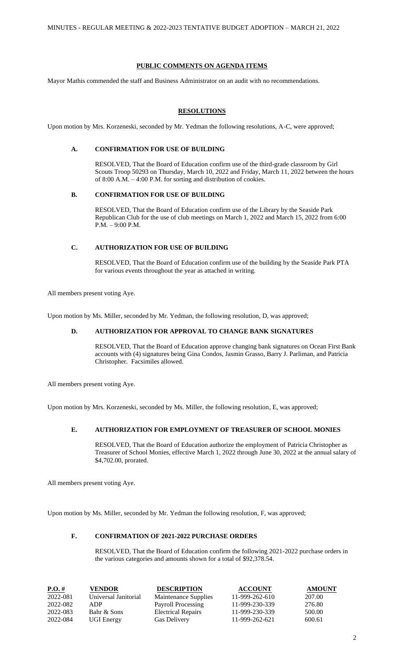## **PUBLIC COMMENTS ON AGENDA ITEMS**

Mayor Mathis commended the staff and Business Administrator on an audit with no recommendations.

## **RESOLUTIONS**

Upon motion by Mrs. Korzeneski, seconded by Mr. Yedman the following resolutions, A-C, were approved;

# **A. CONFIRMATION FOR USE OF BUILDING**

RESOLVED, That the Board of Education confirm use of the third-grade classroom by Girl Scouts Troop 50293 on Thursday, March 10, 2022 and Friday, March 11, 2022 between the hours of 8:00 A.M. – 4:00 P.M. for sorting and distribution of cookies.

#### **B. CONFIRMATION FOR USE OF BUILDING**

RESOLVED, That the Board of Education confirm use of the Library by the Seaside Park Republican Club for the use of club meetings on March 1, 2022 and March 15, 2022 from 6:00 P.M. – 9:00 P.M.

# **C. AUTHORIZATION FOR USE OF BUILDING**

RESOLVED, That the Board of Education confirm use of the building by the Seaside Park PTA for various events throughout the year as attached in writing.

All members present voting Aye.

Upon motion by Ms. Miller, seconded by Mr. Yedman, the following resolution, D, was approved;

#### **D. AUTHORIZATION FOR APPROVAL TO CHANGE BANK SIGNATURES**

RESOLVED, That the Board of Education approve changing bank signatures on Ocean First Bank accounts with (4) signatures being Gina Condos, Jasmin Grasso, Barry J. Parliman, and Patricia Christopher. Facsimiles allowed.

All members present voting Aye.

Upon motion by Mrs. Korzeneski, seconded by Ms. Miller, the following resolution, E, was approved;

## **E. AUTHORIZATION FOR EMPLOYMENT OF TREASURER OF SCHOOL MONIES**

RESOLVED, That the Board of Education authorize the employment of Patricia Christopher as Treasurer of School Monies, effective March 1, 2022 through June 30, 2022 at the annual salary of \$4,702.00, prorated.

All members present voting Aye.

Upon motion by Ms. Miller, seconded by Mr. Yedman the following resolution, F, was approved;

# **F. CONFIRMATION OF 2021-2022 PURCHASE ORDERS**

RESOLVED, That the Board of Education confirm the following 2021-2022 purchase orders in the various categories and amounts shown for a total of \$92,378.54.

| $P.O.$ # | VENDOR               | <b>DESCRIPTION</b>        | <b>ACCOUNT</b>   | <b>AMOUNT</b> |
|----------|----------------------|---------------------------|------------------|---------------|
| 2022-081 | Universal Janitorial | Maintenance Supplies      | $11-999-262-610$ | 207.00        |
| 2022-082 | ADP                  | Payroll Processing        | 11-999-230-339   | 276.80        |
| 2022-083 | Bahr & Sons          | <b>Electrical Repairs</b> | 11-999-230-339   | 500.00        |
| 2022-084 | <b>UGI Energy</b>    | <b>Gas Delivery</b>       | 11-999-262-621   | 600.61        |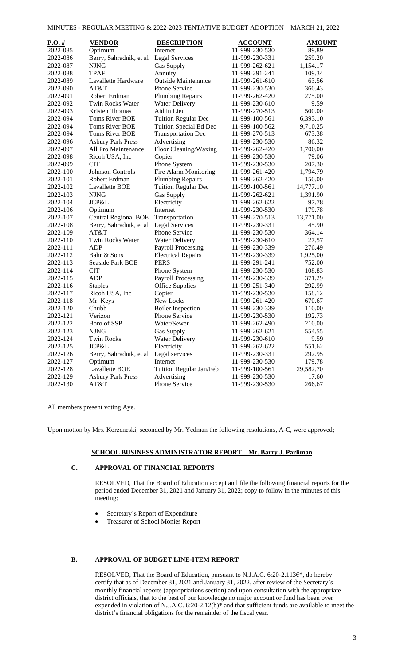|  |  | MINUTES - REGULAR MEETING & 2022-2023 TENTATIVE BUDGET ADOPTION – MARCH 21. 2022 |  |  |
|--|--|----------------------------------------------------------------------------------|--|--|
|  |  |                                                                                  |  |  |

| $P.O.$ # | <b>VENDOR</b>                          | <b>DESCRIPTION</b>         | <b>ACCOUNT</b> | <b>AMOUNT</b> |
|----------|----------------------------------------|----------------------------|----------------|---------------|
| 2022-085 | Optimum                                | Internet                   | 11-999-230-530 | 89.89         |
| 2022-086 | Berry, Sahradnik, et al Legal Services |                            | 11-999-230-331 | 259.20        |
| 2022-087 | <b>NJNG</b>                            | <b>Gas Supply</b>          | 11-999-262-621 | 1,154.17      |
| 2022-088 | <b>TPAF</b>                            | Annuity                    | 11-999-291-241 | 109.34        |
| 2022-089 | Lavallette Hardware                    | <b>Outside Maintenance</b> | 11-999-261-610 | 63.56         |
| 2022-090 | AT&T                                   | <b>Phone Service</b>       | 11-999-230-530 | 360.43        |
| 2022-091 | Robert Erdman                          | <b>Plumbing Repairs</b>    | 11-999-262-420 | 275.00        |
| 2022-092 | Twin Rocks Water                       | <b>Water Delivery</b>      | 11-999-230-610 | 9.59          |
| 2022-093 | <b>Kristen Thomas</b>                  | Aid in Lieu                | 11-999-270-513 | 500.00        |
| 2022-094 | <b>Toms River BOE</b>                  | <b>Tuition Regular Dec</b> | 11-999-100-561 | 6,393.10      |
| 2022-094 | <b>Toms River BOE</b>                  | Tuition Special Ed Dec     | 11-999-100-562 | 9,710.25      |
| 2022-094 | <b>Toms River BOE</b>                  | <b>Transportation Dec</b>  | 11-999-270-513 | 673.38        |
| 2022-096 | <b>Asbury Park Press</b>               | Advertising                | 11-999-230-530 | 86.32         |
| 2022-097 | All Pro Maintenance                    | Floor Cleaning/Waxing      | 11-999-262-420 | 1,700.00      |
| 2022-098 | Ricoh USA, Inc                         | Copier                     | 11-999-230-530 | 79.06         |
| 2022-099 | <b>CIT</b>                             | Phone System               | 11-999-230-530 | 207.30        |
| 2022-100 | <b>Johnson Controls</b>                | Fire Alarm Monitoring      | 11-999-261-420 | 1,794.79      |
| 2022-101 | Robert Erdman                          | <b>Plumbing Repairs</b>    | 11-999-262-420 | 150.00        |
| 2022-102 | Lavallette BOE                         | <b>Tuition Regular Dec</b> | 11-999-100-561 | 14,777.10     |
| 2022-103 | <b>NJNG</b>                            | <b>Gas Supply</b>          | 11-999-262-621 | 1,391.90      |
| 2022-104 | JCP&L                                  | Electricity                | 11-999-262-622 | 97.78         |
| 2022-106 | Optimum                                | Internet                   | 11-999-230-530 | 179.78        |
| 2022-107 | <b>Central Regional BOE</b>            | Transportation             | 11-999-270-513 | 13,771.00     |
| 2022-108 | Berry, Sahradnik, et al                | Legal Services             | 11-999-230-331 | 45.90         |
| 2022-109 | AT&T                                   | Phone Service              | 11-999-230-530 | 364.14        |
| 2022-110 | Twin Rocks Water                       | <b>Water Delivery</b>      | 11-999-230-610 | 27.57         |
| 2022-111 | <b>ADP</b>                             | <b>Payroll Processing</b>  | 11-999-230-339 | 276.49        |
| 2022-112 | Bahr & Sons                            | <b>Electrical Repairs</b>  | 11-999-230-339 | 1,925.00      |
| 2022-113 | Seaside Park BOE                       | <b>PERS</b>                | 11-999-291-241 | 752.00        |
| 2022-114 | <b>CIT</b>                             | Phone System               | 11-999-230-530 | 108.83        |
| 2022-115 | <b>ADP</b>                             | <b>Payroll Processing</b>  | 11-999-230-339 | 371.29        |
| 2022-116 | <b>Staples</b>                         | <b>Office Supplies</b>     | 11-999-251-340 | 292.99        |
| 2022-117 | Ricoh USA, Inc                         | Copier                     | 11-999-230-530 | 158.12        |
| 2022-118 | Mr. Keys                               | New Locks                  | 11-999-261-420 | 670.67        |
| 2022-120 | Chubb                                  | <b>Boiler Inspection</b>   | 11-999-230-339 | 110.00        |
| 2022-121 | Verizon                                | Phone Service              | 11-999-230-530 | 192.73        |
| 2022-122 | Boro of SSP                            | Water/Sewer                | 11-999-262-490 | 210.00        |
| 2022-123 | <b>NJNG</b>                            | Gas Supply                 | 11-999-262-621 | 554.55        |
| 2022-124 | <b>Twin Rocks</b>                      | <b>Water Delivery</b>      | 11-999-230-610 | 9.59          |
| 2022-125 | JCP&L                                  | Electricity                | 11-999-262-622 | 551.62        |
| 2022-126 | Berry, Sahradnik, et al                | Legal services             | 11-999-230-331 | 292.95        |
| 2022-127 | Optimum                                | Internet                   | 11-999-230-530 | 179.78        |
| 2022-128 | Lavallette BOE                         | Tuition Regular Jan/Feb    | 11-999-100-561 | 29,582.70     |
| 2022-129 | <b>Asbury Park Press</b>               | Advertising                | 11-999-230-530 | 17.60         |
| 2022-130 | AT&T                                   | Phone Service              | 11-999-230-530 | 266.67        |

All members present voting Aye.

Upon motion by Mrs. Korzeneski, seconded by Mr. Yedman the following resolutions, A-C, were approved;

## **SCHOOL BUSINESS ADMINISTRATOR REPORT – Mr. Barry J. Parliman**

## **C. APPROVAL OF FINANCIAL REPORTS**

RESOLVED, That the Board of Education accept and file the following financial reports for the period ended December 31, 2021 and January 31, 2022; copy to follow in the minutes of this meeting:

- Secretary's Report of Expenditure
- Treasurer of School Monies Report

# **B. APPROVAL OF BUDGET LINE-ITEM REPORT**

RESOLVED, That the Board of Education, pursuant to N.J.A.C. 6:20-2.113€\*, do hereby certify that as of December 31, 2021 and January 31, 2022, after review of the Secretary's monthly financial reports (appropriations section) and upon consultation with the appropriate district officials, that to the best of our knowledge no major account or fund has been over expended in violation of N.J.A.C. 6:20-2.12(b)\* and that sufficient funds are available to meet the district's financial obligations for the remainder of the fiscal year.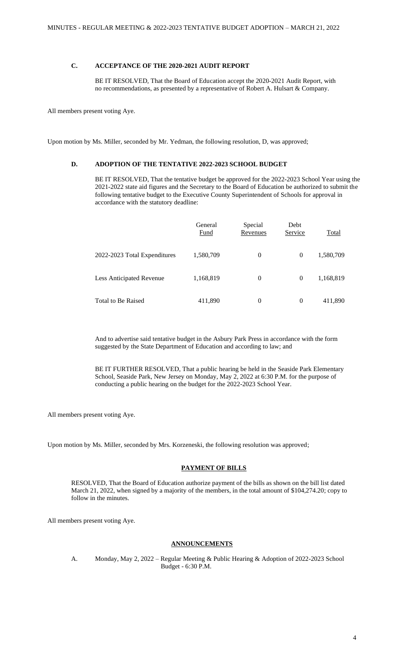## **C. ACCEPTANCE OF THE 2020-2021 AUDIT REPORT**

BE IT RESOLVED, That the Board of Education accept the 2020-2021 Audit Report, with no recommendations, as presented by a representative of Robert A. Hulsart & Company.

All members present voting Aye.

Upon motion by Ms. Miller, seconded by Mr. Yedman, the following resolution, D, was approved;

# **D. ADOPTION OF THE TENTATIVE 2022-2023 SCHOOL BUDGET**

BE IT RESOLVED, That the tentative budget be approved for the 2022-2023 School Year using the 2021-2022 state aid figures and the Secretary to the Board of Education be authorized to submit the following tentative budget to the Executive County Superintendent of Schools for approval in accordance with the statutory deadline:

|                                 | General<br><b>Fund</b> | Special<br>Revenues | Debt<br>Service | <b>Total</b> |
|---------------------------------|------------------------|---------------------|-----------------|--------------|
| 2022-2023 Total Expenditures    | 1,580,709              | $\theta$            | $\theta$        | 1,580,709    |
| <b>Less Anticipated Revenue</b> | 1,168,819              | $\overline{0}$      | $\theta$        | 1,168,819    |
| <b>Total to Be Raised</b>       | 411,890                | $\overline{0}$      | $\theta$        | 411,890      |

And to advertise said tentative budget in the Asbury Park Press in accordance with the form suggested by the State Department of Education and according to law; and

BE IT FURTHER RESOLVED, That a public hearing be held in the Seaside Park Elementary School, Seaside Park, New Jersey on Monday, May 2, 2022 at 6:30 P.M. for the purpose of conducting a public hearing on the budget for the 2022-2023 School Year.

All members present voting Aye.

Upon motion by Ms. Miller, seconded by Mrs. Korzeneski, the following resolution was approved;

# **PAYMENT OF BILLS**

RESOLVED, That the Board of Education authorize payment of the bills as shown on the bill list dated March 21, 2022, when signed by a majority of the members, in the total amount of \$104,274.20; copy to follow in the minutes.

All members present voting Aye.

#### **ANNOUNCEMENTS**

A. Monday, May 2, 2022 – Regular Meeting & Public Hearing & Adoption of 2022-2023 School Budget - 6:30 P.M.